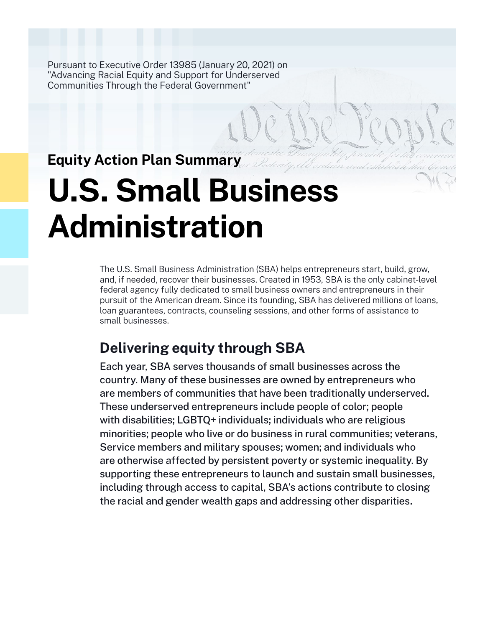Pursuant to Executive Order 13985 (January 20, 2021) on "Advancing Racial Equity and Support for Underserved Communities Through the Federal Government"

# **Equity Action Plan Summary**

# **U.S. Small Business Administration**

The U.S. Small Business Administration (SBA) helps entrepreneurs start, build, grow, and, if needed, recover their businesses. Created in 1953, SBA is the only cabinet-level federal agency fully dedicated to small business owners and entrepreneurs in their pursuit of the American dream. Since its founding, SBA has delivered millions of loans, loan guarantees, contracts, counseling sessions, and other forms of assistance to small businesses.

# **Delivering equity through SBA**

Each year, SBA serves thousands of small businesses across the country. Many of these businesses are owned by entrepreneurs who are members of communities that have been traditionally underserved. These underserved entrepreneurs include people of color; people with disabilities; LGBTQ+ individuals; individuals who are religious minorities; people who live or do business in rural communities; veterans, Service members and military spouses; women; and individuals who are otherwise affected by persistent poverty or systemic inequality. By supporting these entrepreneurs to launch and sustain small businesses, including through access to capital, SBA's actions contribute to closing the racial and gender wealth gaps and addressing other disparities.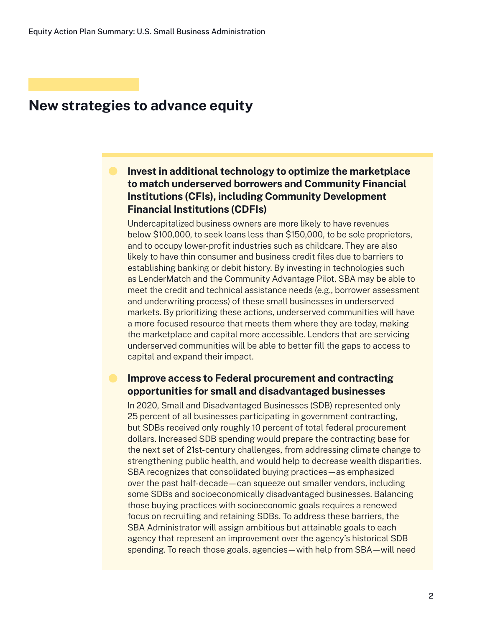## **Invest in additional technology to optimize the marketplace to match underserved borrowers and Community Financial Institutions (CFIs), including Community Development Financial Institutions (CDFIs)**

Undercapitalized business owners are more likely to have revenues below \$100,000, to seek loans less than \$150,000, to be sole proprietors, and to occupy lower-profit industries such as childcare. They are also likely to have thin consumer and business credit files due to barriers to establishing banking or debit history. By investing in technologies such as LenderMatch and the Community Advantage Pilot, SBA may be able to meet the credit and technical assistance needs (e.g., borrower assessment and underwriting process) of these small businesses in underserved markets. By prioritizing these actions, underserved communities will have a more focused resource that meets them where they are today, making the marketplace and capital more accessible. Lenders that are servicing underserved communities will be able to better fill the gaps to access to capital and expand their impact.

## **Improve access to Federal procurement and contracting opportunities for small and disadvantaged businesses**

In 2020, Small and Disadvantaged Businesses (SDB) represented only 25 percent of all businesses participating in government contracting, but SDBs received only roughly 10 percent of total federal procurement dollars. Increased SDB spending would prepare the contracting base for the next set of 21st-century challenges, from addressing climate change to strengthening public health, and would help to decrease wealth disparities. SBA recognizes that consolidated buying practices—as emphasized over the past half-decade—can squeeze out smaller vendors, including some SDBs and socioeconomically disadvantaged businesses. Balancing those buying practices with socioeconomic goals requires a renewed focus on recruiting and retaining SDBs. To address these barriers, the SBA Administrator will assign ambitious but attainable goals to each agency that represent an improvement over the agency's historical SDB spending. To reach those goals, agencies—with help from SBA—will need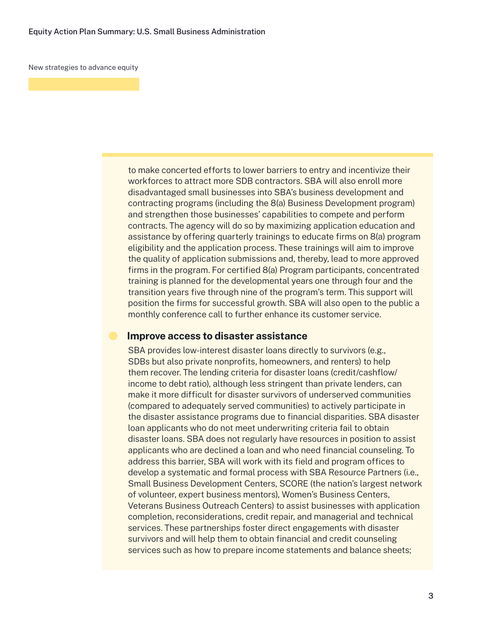to make concerted efforts to lower barriers to entry and incentivize their workforces to attract more SDB contractors. SBA will also enroll more disadvantaged small businesses into SBA's business development and contracting programs (including the 8(a) Business Development program) and strengthen those businesses' capabilities to compete and perform contracts. The agency will do so by maximizing application education and assistance by offering quarterly trainings to educate firms on 8(a) program eligibility and the application process. These trainings will aim to improve the quality of application submissions and, thereby, lead to more approved firms in the program. For certified 8(a) Program participants, concentrated training is planned for the developmental years one through four and the transition years five through nine of the program's term. This support will position the firms for successful growth. SBA will also open to the public a monthly conference call to further enhance its customer service.

#### **Improve access to disaster assistance**

SBA provides low-interest disaster loans directly to survivors (e.g., SDBs but also private nonprofits, homeowners, and renters) to help them recover. The lending criteria for disaster loans (credit/cashflow/ income to debt ratio), although less stringent than private lenders, can make it more difficult for disaster survivors of underserved communities (compared to adequately served communities) to actively participate in the disaster assistance programs due to financial disparities. SBA disaster loan applicants who do not meet underwriting criteria fail to obtain disaster loans. SBA does not regularly have resources in position to assist applicants who are declined a loan and who need financial counseling. To address this barrier, SBA will work with its field and program offices to develop a systematic and formal process with SBA Resource Partners (i.e., Small Business Development Centers, SCORE (the nation's largest network of volunteer, expert business mentors), Women's Business Centers, Veterans Business Outreach Centers) to assist businesses with application completion, reconsiderations, credit repair, and managerial and technical services. These partnerships foster direct engagements with disaster survivors and will help them to obtain financial and credit counseling services such as how to prepare income statements and balance sheets;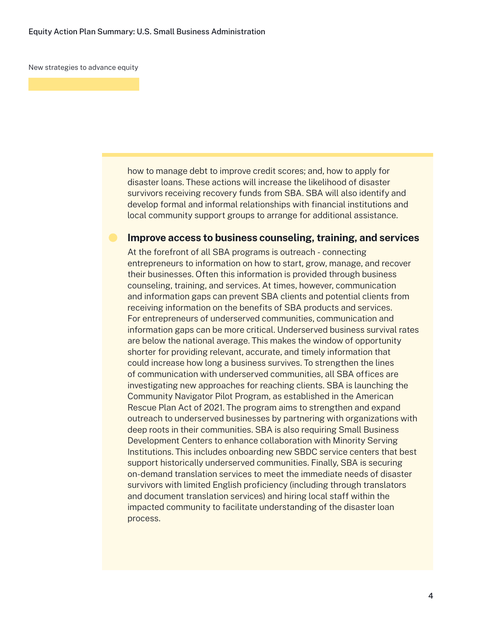how to manage debt to improve credit scores; and, how to apply for disaster loans. These actions will increase the likelihood of disaster survivors receiving recovery funds from SBA. SBA will also identify and develop formal and informal relationships with financial institutions and local community support groups to arrange for additional assistance.

#### **Improve access to business counseling, training, and services**

At the forefront of all SBA programs is outreach - connecting entrepreneurs to information on how to start, grow, manage, and recover their businesses. Often this information is provided through business counseling, training, and services. At times, however, communication and information gaps can prevent SBA clients and potential clients from receiving information on the benefits of SBA products and services. For entrepreneurs of underserved communities, communication and information gaps can be more critical. Underserved business survival rates are below the national average. This makes the window of opportunity shorter for providing relevant, accurate, and timely information that could increase how long a business survives. To strengthen the lines of communication with underserved communities, all SBA offices are investigating new approaches for reaching clients. SBA is launching the Community Navigator Pilot Program, as established in the American Rescue Plan Act of 2021. The program aims to strengthen and expand outreach to underserved businesses by partnering with organizations with deep roots in their communities. SBA is also requiring Small Business Development Centers to enhance collaboration with Minority Serving Institutions. This includes onboarding new SBDC service centers that best support historically underserved communities. Finally, SBA is securing on-demand translation services to meet the immediate needs of disaster survivors with limited English proficiency (including through translators and document translation services) and hiring local staff within the impacted community to facilitate understanding of the disaster loan process.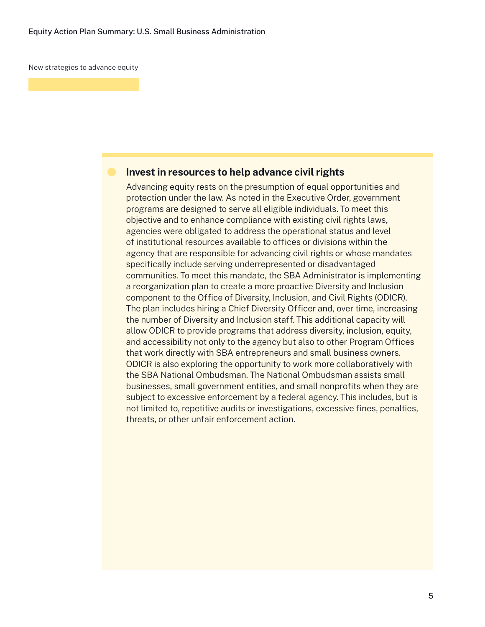#### **Invest in resources to help advance civil rights**

Advancing equity rests on the presumption of equal opportunities and protection under the law. As noted in the Executive Order, government programs are designed to serve all eligible individuals. To meet this objective and to enhance compliance with existing civil rights laws, agencies were obligated to address the operational status and level of institutional resources available to offices or divisions within the agency that are responsible for advancing civil rights or whose mandates specifically include serving underrepresented or disadvantaged communities. To meet this mandate, the SBA Administrator is implementing a reorganization plan to create a more proactive Diversity and Inclusion component to the Office of Diversity, Inclusion, and Civil Rights (ODICR). The plan includes hiring a Chief Diversity Officer and, over time, increasing the number of Diversity and Inclusion staff. This additional capacity will allow ODICR to provide programs that address diversity, inclusion, equity, and accessibility not only to the agency but also to other Program Offices that work directly with SBA entrepreneurs and small business owners. ODICR is also exploring the opportunity to work more collaboratively with the SBA National Ombudsman. The National Ombudsman assists small businesses, small government entities, and small nonprofits when they are subject to excessive enforcement by a federal agency. This includes, but is not limited to, repetitive audits or investigations, excessive fines, penalties, threats, or other unfair enforcement action.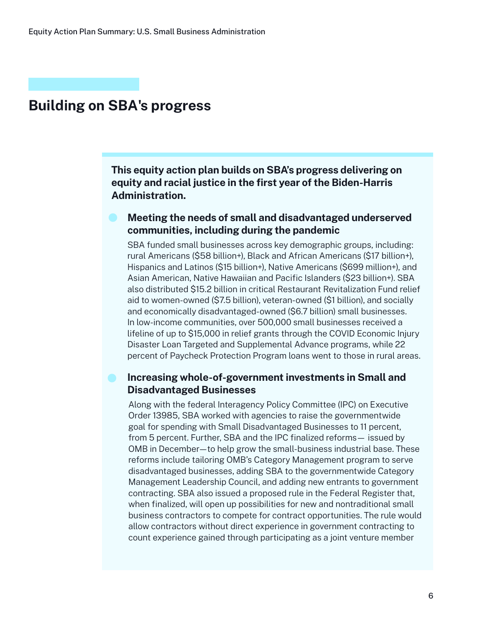# **Building on SBA's progress**

**This equity action plan builds on SBA's progress delivering on equity and racial justice in the first year of the Biden-Harris Administration.**

## **Meeting the needs of small and disadvantaged underserved communities, including during the pandemic**

SBA funded small businesses across key demographic groups, including: rural Americans (\$58 billion+), Black and African Americans (\$17 billion+), Hispanics and Latinos (\$15 billion+), Native Americans (\$699 million+), and Asian American, Native Hawaiian and Pacific Islanders (\$23 billion+). SBA also distributed \$15.2 billion in critical Restaurant Revitalization Fund relief aid to women-owned (\$7.5 billion), veteran-owned (\$1 billion), and socially and economically disadvantaged-owned (\$6.7 billion) small businesses. In low-income communities, over 500,000 small businesses received a lifeline of up to \$15,000 in relief grants through the COVID Economic Injury Disaster Loan Targeted and Supplemental Advance programs, while 22 percent of Paycheck Protection Program loans went to those in rural areas.

**Increasing whole-of-government investments in Small and Disadvantaged Businesses**

Along with the federal Interagency Policy Committee (IPC) on Executive Order 13985, SBA worked with agencies to raise the governmentwide goal for spending with Small Disadvantaged Businesses to 11 percent, from 5 percent. Further, SBA and the IPC finalized reforms— issued by OMB in December—to help grow the small-business industrial base. These reforms include tailoring OMB's Category Management program to serve disadvantaged businesses, adding SBA to the governmentwide Category Management Leadership Council, and adding new entrants to government contracting. SBA also issued a proposed rule in the Federal Register that, when finalized, will open up possibilities for new and nontraditional small business contractors to compete for contract opportunities. The rule would allow contractors without direct experience in government contracting to count experience gained through participating as a joint venture member